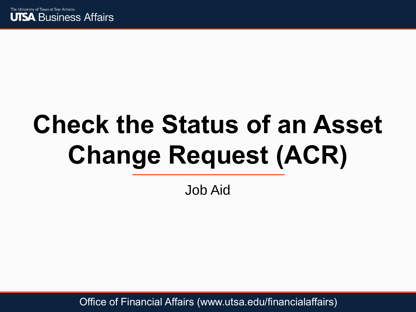

# **Check the Status of an Asset Change Request (ACR)**

Job Aid

Office of Financial Affairs (www.utsa.edu/financialaffairs)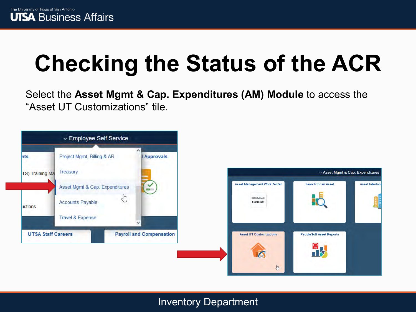Select the **Asset Mgmt & Cap. Expenditures (AM) Module** to access the "Asset UT Customizations" tile.

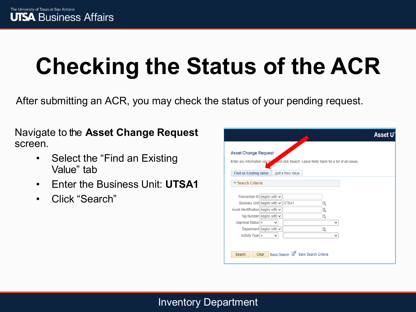After submitting an ACR, you may check the status of your pending request.

Navigate to the **Asset Change Request**  screen.

- Select the "Find an Existing Value" tab
- Enter the Business Unit: **UTSA1**
- Click "Search"

|                                    |                                   |                                     |                                                                |              | <b>Asset U</b> |
|------------------------------------|-----------------------------------|-------------------------------------|----------------------------------------------------------------|--------------|----------------|
|                                    |                                   |                                     |                                                                |              |                |
| <b>Asset Change Request</b>        |                                   |                                     |                                                                |              |                |
| Enter any information you be       |                                   |                                     | and click Search. Leave fields blank for a list of all values. |              |                |
|                                    |                                   |                                     |                                                                |              |                |
| <b>Find an Existing Value</b>      |                                   | Add a New Value                     |                                                                |              |                |
| <b>Example Search Criteria</b>     |                                   |                                     |                                                                |              |                |
|                                    |                                   |                                     |                                                                |              |                |
| Transaction ID begins with $\sim$  |                                   |                                     |                                                                |              |                |
|                                    | Business Unit begins with v UTSA1 |                                     | Q                                                              |              |                |
| Asset Identification begins with ↓ |                                   |                                     | Q                                                              |              |                |
|                                    | Tag Number begins with $\vee$     |                                     | Q                                                              |              |                |
| Approval Status $=$                | $\checkmark$                      |                                     |                                                                | $\checkmark$ |                |
|                                    | Department begins with $\vee$     |                                     | Q                                                              |              |                |
| Activity Type $=$                  | $\checkmark$                      |                                     |                                                                | v            |                |
|                                    |                                   |                                     |                                                                |              |                |
|                                    |                                   |                                     |                                                                |              |                |
| Search                             | Clear                             | Basic Search & Save Search Criteria |                                                                |              |                |
|                                    |                                   |                                     |                                                                |              |                |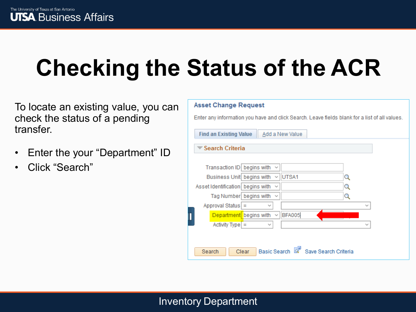To locate an existing value, you can check the status of a pending transfer.

- Enter the your "Department" ID
- Click "Search"

| <b>Asset Change Request</b>                                                                   |  |  |  |  |  |  |  |
|-----------------------------------------------------------------------------------------------|--|--|--|--|--|--|--|
| Enter any information you have and click Search. Leave fields blank for a list of all values. |  |  |  |  |  |  |  |
| Add a New Value<br><b>Find an Existing Value</b>                                              |  |  |  |  |  |  |  |
| <b>Search Criteria</b>                                                                        |  |  |  |  |  |  |  |
| Transaction ID begins with                                                                    |  |  |  |  |  |  |  |
| Business Unit begins with<br>UTSA1<br>$\checkmark$<br>Q                                       |  |  |  |  |  |  |  |
| Asset Identification   begins with<br>Q<br>$\checkmark$                                       |  |  |  |  |  |  |  |
| Tag Number begins with<br>Q<br>$\checkmark$<br>Approval Status =<br>$\checkmark$              |  |  |  |  |  |  |  |
| <b>BFA005</b><br>Department begins with<br>$\checkmark$                                       |  |  |  |  |  |  |  |
| $\text{Activity Type}$ =<br>$\checkmark$                                                      |  |  |  |  |  |  |  |
|                                                                                               |  |  |  |  |  |  |  |
| <b>Basic Search</b><br>Save Search Criteria<br>Search<br>Clear                                |  |  |  |  |  |  |  |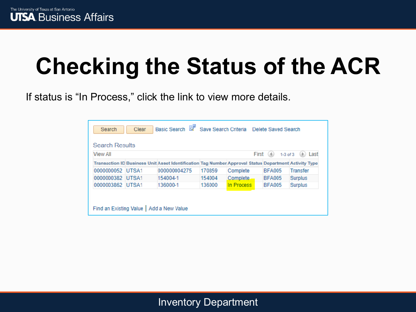If status is "In Process," click the link to view more details.

| <b>Search Results</b>                     |  |                                                                                                       |        |            |               |                 |
|-------------------------------------------|--|-------------------------------------------------------------------------------------------------------|--------|------------|---------------|-----------------|
| View All<br>First<br>Last<br>$1-3$ of $3$ |  |                                                                                                       |        |            |               |                 |
|                                           |  | Transaction ID Business Unit Asset Identification Tag Number Approval Status Department Activity Type |        |            |               |                 |
| 0000000052 UTSA1                          |  | 000000004275                                                                                          | 170859 | Complete   | <b>BFA005</b> | <b>Transfer</b> |
| 0000000382 UTSA1                          |  | 154004-1                                                                                              | 154004 | Complete.  | <b>BFA005</b> | <b>Surplus</b>  |
| 0000003862 UTSA1                          |  | 136000-1                                                                                              | 136000 | In Process | <b>BFA005</b> | Surplus         |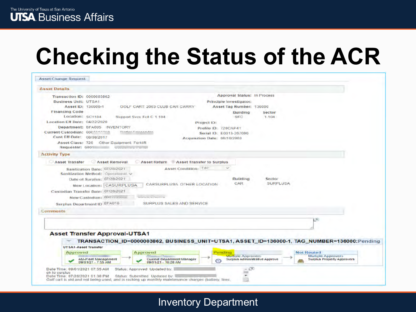| <b>Asset Details</b>                                                                                                                        |                                    |                 |                                   |
|---------------------------------------------------------------------------------------------------------------------------------------------|------------------------------------|-----------------|-----------------------------------|
| Transaction ID: 0000003862                                                                                                                  | <b>Approval Status: In Process</b> |                 |                                   |
| <b>Business Unit: UTSA1</b>                                                                                                                 | Principle Investigator:            |                 |                                   |
| Asset ID: 136000-1<br>GOLF CART: 2003 CLUB CAR CARRY                                                                                        | Asset Tag Number: 136000           |                 |                                   |
| <b>Financing Code</b><br>Location: SC1104                                                                                                   | Building                           | Sector          |                                   |
| Support Svcs Fclt C 1 104<br>Location Eff Date: 04/22/2020                                                                                  | SFC<br>Project ID:                 | 1.104           |                                   |
| Department: BFA005 INVENTORY                                                                                                                | Profile ID: 720CAP41               |                 |                                   |
| Current Custodian: 600 metals                                                                                                               | Serial ID: E0313-267096            |                 |                                   |
| Cust Eff Date: 08/08/2017                                                                                                                   | Acquisition Date: 06/10/2003       |                 |                                   |
| Asset Class: 720<br>Other Equipment: Forklift                                                                                               |                                    |                 |                                   |
| Requester: 6001<br><b>Contractions</b> of the contract of                                                                                   |                                    |                 |                                   |
| <b>Activity Type</b>                                                                                                                        |                                    |                 |                                   |
| <b>Asset Removal</b><br>Asset Transfer<br><b>Asset Return</b><br>Asset Transfer to Surplus                                                  |                                    |                 |                                   |
| <b>Asset Condition: Fair</b><br>Sanitization Date: 07/28/2021<br>Sanitization Method: Operational v<br>Date of Surplus: 07/28/2021          | Building                           | Sector          |                                   |
| CARSURPLUSA OTHER LOCATION<br>New Location: CASURPLUSA                                                                                      | CAR                                | <b>SURFLUSA</b> |                                   |
| Custodian Transfer Date: 07/28/2021                                                                                                         |                                    |                 |                                   |
| <b>CALIFORNIA, CALIFORNIA (1979)</b><br>New Custodian: 600 mount                                                                            |                                    |                 |                                   |
| SURPLUS SALES AND SERVICE<br>Surplus Department ID BFA016                                                                                   |                                    |                 |                                   |
|                                                                                                                                             |                                    |                 |                                   |
| <b>Commonts</b>                                                                                                                             |                                    |                 |                                   |
|                                                                                                                                             |                                    |                 | $\pi$                             |
|                                                                                                                                             |                                    |                 |                                   |
| <b>Asset Transfer Approval-UTSA1</b>                                                                                                        |                                    |                 |                                   |
| TRANSACTION_ID=0000003862, BUSINESS_UNIT=UTSA1, ASSET_ID=136000-1, TAG_NUMBER=136000:Pending<br>w                                           |                                    |                 |                                   |
| UT SA1-Asset Transfer                                                                                                                       |                                    |                 |                                   |
|                                                                                                                                             | Pending                            |                 | <b>Not Routed</b>                 |
|                                                                                                                                             | Multiple Approvers                 |                 | <b>Multiple Approvers</b>         |
| <b>Approved</b><br>Approved<br><b>AM-Fleet Management</b><br><b>Current Department Manager</b><br>09/01/21 - 7:55 AM<br>09/01/21 - 10:28 AM | Surplus Administrative Approve     |                 | <b>Surplus Property Approvers</b> |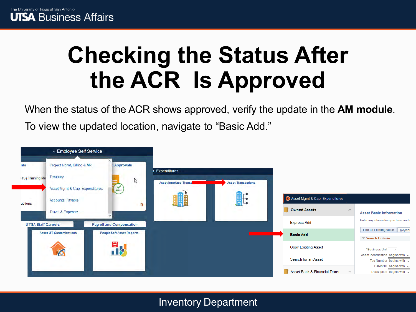### **Checking the Status After the ACR Is Approved**

When the status of the ACR shows approved, verify the update in the **AM module**.

To view the updated location, navigate to "Basic Add."

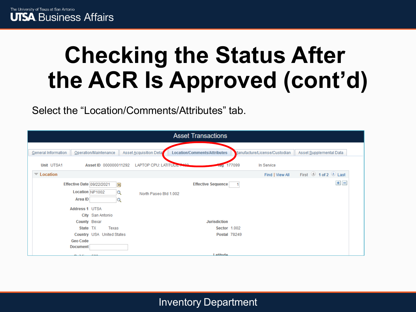

### **Checking the Status After the ACR Is Approved (cont'd)**

Select the "Location/Comments/Attributes" tab.

| <b>Asset Transactions</b>                                                                            |                                                        |                              |                               |                         |  |
|------------------------------------------------------------------------------------------------------|--------------------------------------------------------|------------------------------|-------------------------------|-------------------------|--|
| Operation/Maintenance<br>General Information                                                         | Asset Acquisition Deta                                 | Location/Comments/Attributes | Manufacture/License/Custodian | Asset Supplemental Data |  |
| Unit UTSA1                                                                                           | <b>LAPTOP CPU: LATITUDE +</b><br>Asset ID 000000011292 | ray 177099                   | In Service                    |                         |  |
| $\blacktriangledown$ Location                                                                        |                                                        |                              | Find   View All               | First 1 of 2 Last       |  |
| <b>Effective Date 09/22/2021</b><br>Location NP1002<br>Area ID<br>Address 1 UTSA<br>City San Antonio | 蔮<br>$\alpha$<br>North Paseo Bld 1.002<br>Q            | <b>Effective Sequence</b>    |                               | $+$ $-$                 |  |
| County Bexar                                                                                         |                                                        | <b>Jurisdiction</b>          |                               |                         |  |
| State TX                                                                                             | Texas                                                  | Sector 1.002                 |                               |                         |  |
| Country USA United States                                                                            |                                                        | <b>Postal 78249</b>          |                               |                         |  |
| <b>Geo Code</b><br><b>Document</b>                                                                   |                                                        |                              |                               |                         |  |
|                                                                                                      |                                                        | <b>Latitudo</b>              |                               |                         |  |